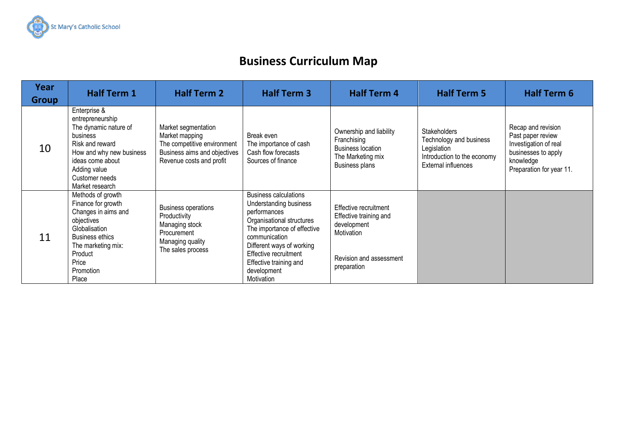

## **Business Curriculum Map**

| Year<br><b>Group</b> | <b>Half Term 1</b>                                                                                                                                                                            | <b>Half Term 2</b>                                                                                                               | <b>Half Term 3</b>                                                                                                                                                                                                                                               | <b>Half Term 4</b>                                                                                                     | <b>Half Term 5</b>                                                                                                  | <b>Half Term 6</b>                                                                                                               |
|----------------------|-----------------------------------------------------------------------------------------------------------------------------------------------------------------------------------------------|----------------------------------------------------------------------------------------------------------------------------------|------------------------------------------------------------------------------------------------------------------------------------------------------------------------------------------------------------------------------------------------------------------|------------------------------------------------------------------------------------------------------------------------|---------------------------------------------------------------------------------------------------------------------|----------------------------------------------------------------------------------------------------------------------------------|
| 10                   | Enterprise &<br>entrepreneurship<br>The dynamic nature of<br>business<br>Risk and reward<br>How and why new business<br>ideas come about<br>Adding value<br>Customer needs<br>Market research | Market segmentation<br>Market mapping<br>The competitive environment<br>Business aims and objectives<br>Revenue costs and profit | Break even<br>The importance of cash<br>Cash flow forecasts<br>Sources of finance                                                                                                                                                                                | Ownership and liability<br>Franchising<br><b>Business location</b><br>The Marketing mix<br>Business plans              | <b>Stakeholders</b><br>Technology and business<br>Legislation<br>Introduction to the economy<br>External influences | Recap and revision<br>Past paper review<br>Investigation of real<br>businesses to apply<br>knowledge<br>Preparation for year 11. |
| 11                   | Methods of growth<br>Finance for growth<br>Changes in aims and<br>objectives<br>Globalisation<br><b>Business ethics</b><br>The marketing mix:<br>Product<br>Price<br>Promotion<br>Place       | <b>Business operations</b><br>Productivity<br>Managing stock<br>Procurement<br>Managing quality<br>The sales process             | <b>Business calculations</b><br>Understanding business<br>performances<br>Organisational structures<br>The importance of effective<br>communication<br>Different ways of working<br>Effective recruitment<br>Effective training and<br>development<br>Motivation | Effective recruitment<br>Effective training and<br>development<br>Motivation<br>Revision and assessment<br>preparation |                                                                                                                     |                                                                                                                                  |